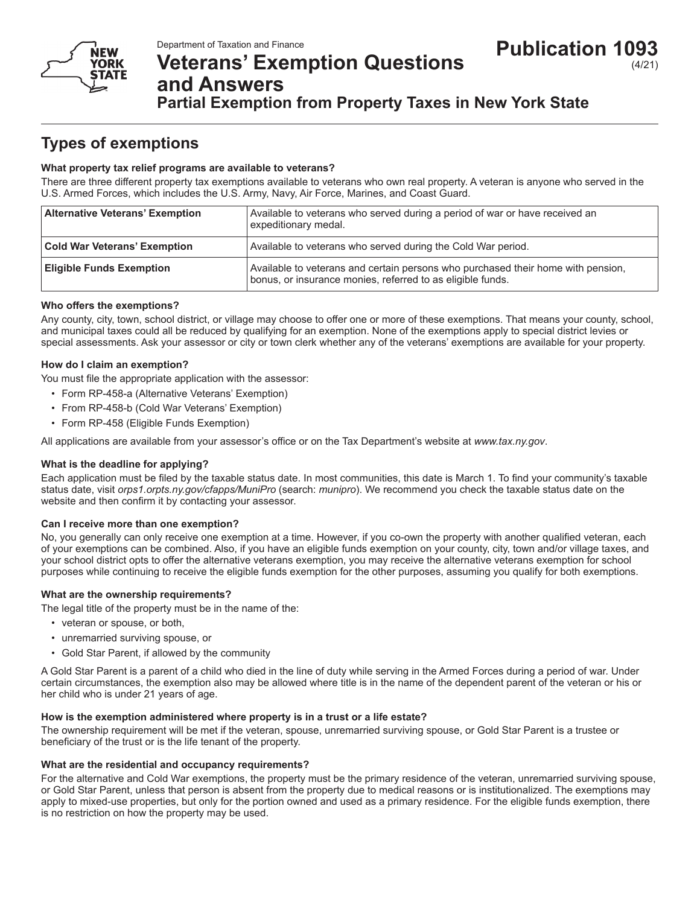

# **Veterans' Exemption Questions and Answers**

# **Partial Exemption from Property Taxes in New York State**

# **Types of exemptions**

# **What property tax relief programs are available to veterans?**

There are three different property tax exemptions available to veterans who own real property. A veteran is anyone who served in the U.S. Armed Forces, which includes the U.S. Army, Navy, Air Force, Marines, and Coast Guard.

| <b>Alternative Veterans' Exemption</b> | Available to veterans who served during a period of war or have received an<br>expeditionary medal.                                            |
|----------------------------------------|------------------------------------------------------------------------------------------------------------------------------------------------|
| <b>Cold War Veterans' Exemption</b>    | Available to veterans who served during the Cold War period.                                                                                   |
| <b>Eligible Funds Exemption</b>        | Available to veterans and certain persons who purchased their home with pension,<br>bonus, or insurance monies, referred to as eligible funds. |

# **Who offers the exemptions?**

Any county, city, town, school district, or village may choose to offer one or more of these exemptions. That means your county, school, and municipal taxes could all be reduced by qualifying for an exemption. None of the exemptions apply to special district levies or special assessments. Ask your assessor or city or town clerk whether any of the veterans' exemptions are available for your property.

# **How do I claim an exemption?**

You must file the appropriate application with the assessor:

- Form RP-458-a (Alternative Veterans' Exemption)
- From RP-458-b (Cold War Veterans' Exemption)
- Form RP-458 (Eligible Funds Exemption)

All applications are available from your assessor's office or on the Tax Department's website at *www.tax.ny.gov*.

# **What is the deadline for applying?**

Each application must be filed by the taxable status date. In most communities, this date is March 1. To find your community's taxable status date, visit *orps1.orpts.ny.gov/cfapps/MuniPro* (search: *munipro*). We recommend you check the taxable status date on the website and then confirm it by contacting your assessor.

# **Can I receive more than one exemption?**

No, you generally can only receive one exemption at a time. However, if you co-own the property with another qualified veteran, each of your exemptions can be combined. Also, if you have an eligible funds exemption on your county, city, town and/or village taxes, and your school district opts to offer the alternative veterans exemption, you may receive the alternative veterans exemption for school purposes while continuing to receive the eligible funds exemption for the other purposes, assuming you qualify for both exemptions.

# **What are the ownership requirements?**

The legal title of the property must be in the name of the:

- veteran or spouse, or both,
- unremarried surviving spouse, or
- Gold Star Parent, if allowed by the community

A Gold Star Parent is a parent of a child who died in the line of duty while serving in the Armed Forces during a period of war. Under certain circumstances, the exemption also may be allowed where title is in the name of the dependent parent of the veteran or his or her child who is under 21 years of age.

# **How is the exemption administered where property is in a trust or a life estate?**

The ownership requirement will be met if the veteran, spouse, unremarried surviving spouse, or Gold Star Parent is a trustee or beneficiary of the trust or is the life tenant of the property.

#### **What are the residential and occupancy requirements?**

For the alternative and Cold War exemptions, the property must be the primary residence of the veteran, unremarried surviving spouse, or Gold Star Parent, unless that person is absent from the property due to medical reasons or is institutionalized. The exemptions may apply to mixed-use properties, but only for the portion owned and used as a primary residence. For the eligible funds exemption, there is no restriction on how the property may be used.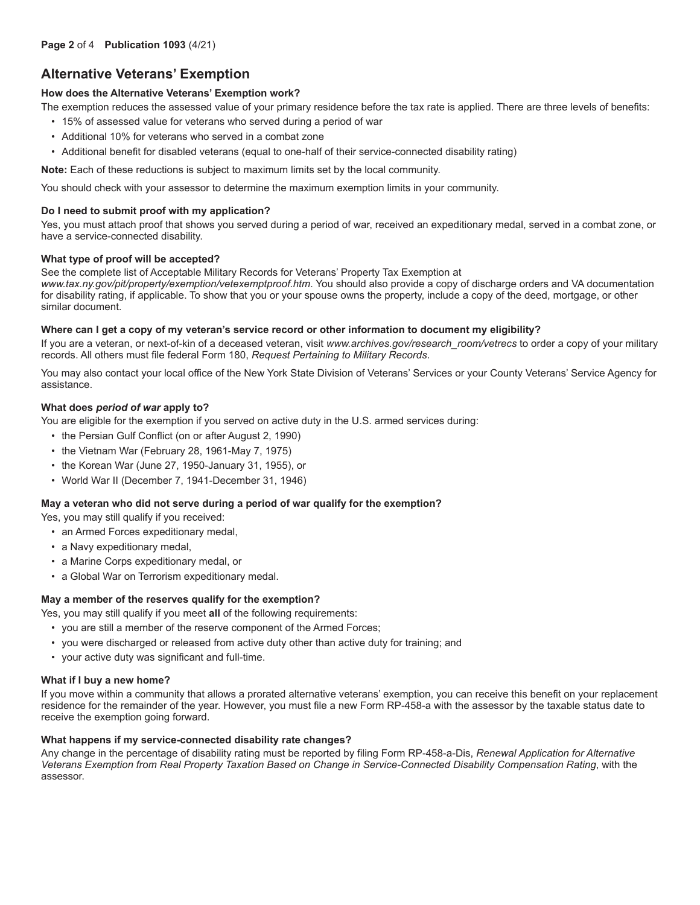# **Alternative Veterans' Exemption**

### **How does the Alternative Veterans' Exemption work?**

The exemption reduces the assessed value of your primary residence before the tax rate is applied. There are three levels of benefits:

- 15% of assessed value for veterans who served during a period of war
- Additional 10% for veterans who served in a combat zone
- Additional benefit for disabled veterans (equal to one-half of their service-connected disability rating)

**Note:** Each of these reductions is subject to maximum limits set by the local community.

You should check with your assessor to determine the maximum exemption limits in your community.

### **Do I need to submit proof with my application?**

Yes, you must attach proof that shows you served during a period of war, received an expeditionary medal, served in a combat zone, or have a service-connected disability.

#### **What type of proof will be accepted?**

See the complete list of Acceptable Military Records for Veterans' Property Tax Exemption at *www.tax.ny.gov/pit/property/exemption/vetexemptproof.htm*. You should also provide a copy of discharge orders and VA documentation for disability rating, if applicable. To show that you or your spouse owns the property, include a copy of the deed, mortgage, or other similar document.

#### **Where can I get a copy of my veteran's service record or other information to document my eligibility?**

If you are a veteran, or next-of-kin of a deceased veteran, visit *www.archives.gov/research room/vetrecs* to order a copy of your military records. All others must file federal Form 180, *Request Pertaining to Military Records*.

You may also contact your local office of the New York State Division of Veterans' Services or your County Veterans' Service Agency for assistance.

#### **What does** *period of war* **apply to?**

You are eligible for the exemption if you served on active duty in the U.S. armed services during:

- the Persian Gulf Conflict (on or after August 2, 1990)
- the Vietnam War (February 28, 1961-May 7, 1975)
- the Korean War (June 27, 1950-January 31, 1955), or
- World War II (December 7, 1941-December 31, 1946)

#### **May a veteran who did not serve during a period of war qualify for the exemption?**

Yes, you may still qualify if you received:

- an Armed Forces expeditionary medal,
- a Navy expeditionary medal,
- a Marine Corps expeditionary medal, or
- a Global War on Terrorism expeditionary medal.

#### **May a member of the reserves qualify for the exemption?**

Yes, you may still qualify if you meet **all** of the following requirements:

- you are still a member of the reserve component of the Armed Forces;
- you were discharged or released from active duty other than active duty for training; and
- your active duty was significant and full-time.

#### **What if I buy a new home?**

If you move within a community that allows a prorated alternative veterans' exemption, you can receive this benefit on your replacement residence for the remainder of the year. However, you must file a new Form RP-458-a with the assessor by the taxable status date to receive the exemption going forward.

#### **What happens if my service-connected disability rate changes?**

Any change in the percentage of disability rating must be reported by filing Form RP-458-a-Dis, *Renewal Application for Alternative Veterans Exemption from Real Property Taxation Based on Change in Service-Connected Disability Compensation Rating*, with the assessor.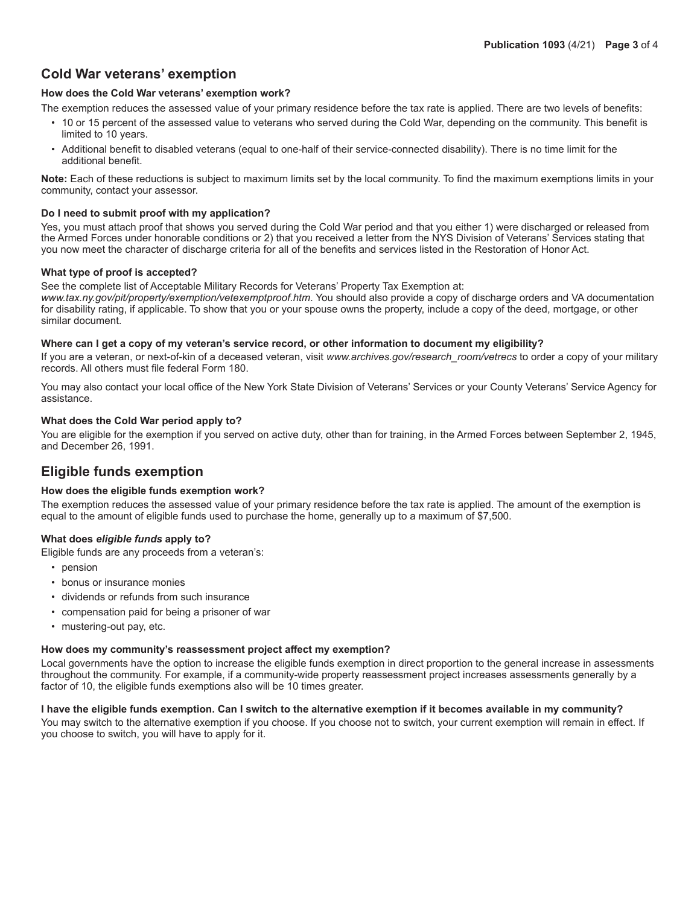# **Cold War veterans' exemption**

### **How does the Cold War veterans' exemption work?**

The exemption reduces the assessed value of your primary residence before the tax rate is applied. There are two levels of benefits:

- 10 or 15 percent of the assessed value to veterans who served during the Cold War, depending on the community. This benefit is limited to 10 years.
- Additional benefit to disabled veterans (equal to one-half of their service-connected disability). There is no time limit for the additional benefit.

**Note:** Each of these reductions is subject to maximum limits set by the local community. To find the maximum exemptions limits in your community, contact your assessor.

#### **Do I need to submit proof with my application?**

Yes, you must attach proof that shows you served during the Cold War period and that you either 1) were discharged or released from the Armed Forces under honorable conditions or 2) that you received a letter from the NYS Division of Veterans' Services stating that you now meet the character of discharge criteria for all of the benefits and services listed in the Restoration of Honor Act.

#### **What type of proof is accepted?**

See the complete list of Acceptable Military Records for Veterans' Property Tax Exemption at:

*www.tax.ny.gov/pit/property/exemption/vetexemptproof.htm*. You should also provide a copy of discharge orders and VA documentation for disability rating, if applicable. To show that you or your spouse owns the property, include a copy of the deed, mortgage, or other similar document.

#### **Where can I get a copy of my veteran's service record, or other information to document my eligibility?**

If you are a veteran, or next-of-kin of a deceased veteran, visit *www.archives.gov/research room/vetrecs* to order a copy of your military records. All others must file federal Form 180.

You may also contact your local office of the New York State Division of Veterans' Services or your County Veterans' Service Agency for assistance.

#### **What does the Cold War period apply to?**

You are eligible for the exemption if you served on active duty, other than for training, in the Armed Forces between September 2, 1945, and December 26, 1991.

# **Eligible funds exemption**

#### **How does the eligible funds exemption work?**

The exemption reduces the assessed value of your primary residence before the tax rate is applied. The amount of the exemption is equal to the amount of eligible funds used to purchase the home, generally up to a maximum of \$7,500.

# **What does** *eligible funds* **apply to?**

Eligible funds are any proceeds from a veteran's:

- pension
- bonus or insurance monies
- dividends or refunds from such insurance
- compensation paid for being a prisoner of war
- mustering-out pay, etc.

#### **How does my community's reassessment project affect my exemption?**

Local governments have the option to increase the eligible funds exemption in direct proportion to the general increase in assessments throughout the community. For example, if a community-wide property reassessment project increases assessments generally by a factor of 10, the eligible funds exemptions also will be 10 times greater.

#### **I have the eligible funds exemption. Can I switch to the alternative exemption if it becomes available in my community?**

You may switch to the alternative exemption if you choose. If you choose not to switch, your current exemption will remain in effect. If you choose to switch, you will have to apply for it.